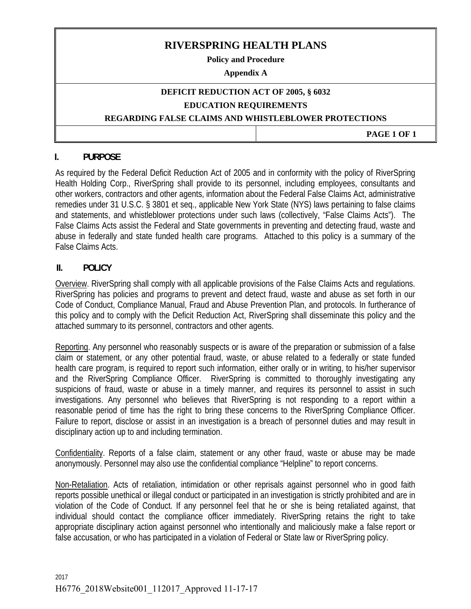# **RIVERSPRING HEALTH PLANS**

**Policy and Procedure** 

#### **Appendix A**

### **DEFICIT REDUCTION ACT OF 2005, § 6032 EDUCATION REQUIREMENTS**

#### **REGARDING FALSE CLAIMS AND WHISTLEBLOWER PROTECTIONS**

 **PAGE 1 OF 1** 

## **I. PURPOSE**

As required by the Federal Deficit Reduction Act of 2005 and in conformity with the policy of RiverSpring Health Holding Corp., RiverSpring shall provide to its personnel, including employees, consultants and other workers, contractors and other agents, information about the Federal False Claims Act, administrative remedies under 31 U.S.C. § 3801 et seq., applicable New York State (NYS) laws pertaining to false claims and statements, and whistleblower protections under such laws (collectively, "False Claims Acts"). The False Claims Acts assist the Federal and State governments in preventing and detecting fraud, waste and abuse in federally and state funded health care programs. Attached to this policy is a summary of the False Claims Acts.

# **II. POLICY**

Overview. RiverSpring shall comply with all applicable provisions of the False Claims Acts and regulations. RiverSpring has policies and programs to prevent and detect fraud, waste and abuse as set forth in our Code of Conduct, Compliance Manual, Fraud and Abuse Prevention Plan, and protocols. In furtherance of this policy and to comply with the Deficit Reduction Act, RiverSpring shall disseminate this policy and the attached summary to its personnel, contractors and other agents.

Reporting. Any personnel who reasonably suspects or is aware of the preparation or submission of a false claim or statement, or any other potential fraud, waste, or abuse related to a federally or state funded health care program, is required to report such information, either orally or in writing, to his/her supervisor and the RiverSpring Compliance Officer. RiverSpring is committed to thoroughly investigating any suspicions of fraud, waste or abuse in a timely manner, and requires its personnel to assist in such investigations. Any personnel who believes that RiverSpring is not responding to a report within a reasonable period of time has the right to bring these concerns to the RiverSpring Compliance Officer. Failure to report, disclose or assist in an investigation is a breach of personnel duties and may result in disciplinary action up to and including termination.

Confidentiality. Reports of a false claim, statement or any other fraud, waste or abuse may be made anonymously. Personnel may also use the confidential compliance "Helpline" to report concerns.

Non-Retaliation. Acts of retaliation, intimidation or other reprisals against personnel who in good faith reports possible unethical or illegal conduct or participated in an investigation is strictly prohibited and are in violation of the Code of Conduct. If any personnel feel that he or she is being retaliated against, that individual should contact the compliance officer immediately. RiverSpring retains the right to take appropriate disciplinary action against personnel who intentionally and maliciously make a false report or false accusation, or who has participated in a violation of Federal or State law or RiverSpring policy.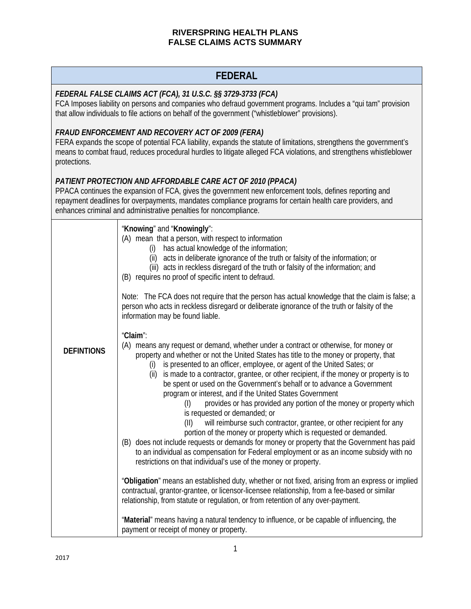# **FEDERAL**

### *FEDERAL FALSE CLAIMS ACT (FCA), 31 U.S.C. §§ 3729-3733 (FCA)*

FCA Imposes liability on persons and companies who defraud government programs. Includes a "qui tam" provision that allow individuals to file actions on behalf of the government ("whistleblower" provisions).

## *FRAUD ENFORCEMENT AND RECOVERY ACT OF 2009 (FERA)*

FERA expands the scope of potential FCA liability, expands the statute of limitations, strengthens the government's means to combat fraud, reduces procedural hurdles to litigate alleged FCA violations, and strengthens whistleblower protections.

# *PATIENT PROTECTION AND AFFORDABLE CARE ACT OF 2010 (PPACA)*

PPACA continues the expansion of FCA, gives the government new enforcement tools, defines reporting and repayment deadlines for overpayments, mandates compliance programs for certain health care providers, and enhances criminal and administrative penalties for noncompliance.

|                   | "Knowing" and "Knowingly":<br>(A) mean that a person, with respect to information<br>has actual knowledge of the information;<br>(i)<br>(ii) acts in deliberate ignorance of the truth or falsity of the information; or<br>(iii) acts in reckless disregard of the truth or falsity of the information; and<br>(B) requires no proof of specific intent to defraud.<br>Note: The FCA does not require that the person has actual knowledge that the claim is false; a<br>person who acts in reckless disregard or deliberate ignorance of the truth or falsity of the                                                              |
|-------------------|-------------------------------------------------------------------------------------------------------------------------------------------------------------------------------------------------------------------------------------------------------------------------------------------------------------------------------------------------------------------------------------------------------------------------------------------------------------------------------------------------------------------------------------------------------------------------------------------------------------------------------------|
| <b>DEFINTIONS</b> | information may be found liable.<br>"Claim":<br>(A) means any request or demand, whether under a contract or otherwise, for money or<br>property and whether or not the United States has title to the money or property, that<br>is presented to an officer, employee, or agent of the United Sates; or<br>(i)<br>is made to a contractor, grantee, or other recipient, if the money or property is to<br>(ii)<br>be spent or used on the Government's behalf or to advance a Government<br>program or interest, and if the United States Government<br>provides or has provided any portion of the money or property which<br>(1) |
|                   | is requested or demanded; or<br>will reimburse such contractor, grantee, or other recipient for any<br>(11)<br>portion of the money or property which is requested or demanded.<br>(B) does not include requests or demands for money or property that the Government has paid<br>to an individual as compensation for Federal employment or as an income subsidy with no<br>restrictions on that individual's use of the money or property.                                                                                                                                                                                        |
|                   | "Obligation" means an established duty, whether or not fixed, arising from an express or implied<br>contractual, grantor-grantee, or licensor-licensee relationship, from a fee-based or similar<br>relationship, from statute or regulation, or from retention of any over-payment.                                                                                                                                                                                                                                                                                                                                                |
|                   | "Material" means having a natural tendency to influence, or be capable of influencing, the<br>payment or receipt of money or property.                                                                                                                                                                                                                                                                                                                                                                                                                                                                                              |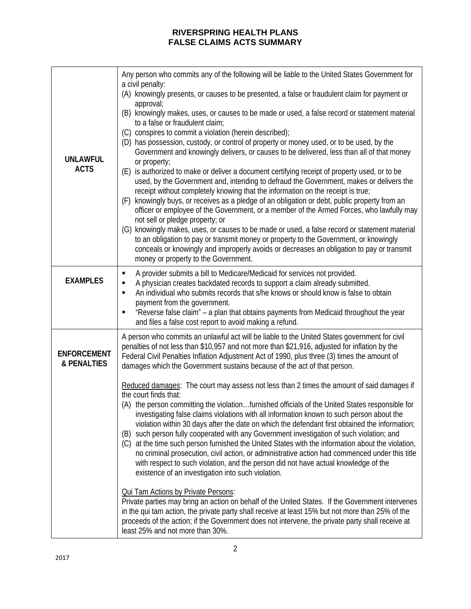| <b>UNLAWFUL</b><br><b>ACTS</b>    | Any person who commits any of the following will be liable to the United States Government for<br>a civil penalty:<br>(A) knowingly presents, or causes to be presented, a false or fraudulent claim for payment or<br>approval;<br>(B) knowingly makes, uses, or causes to be made or used, a false record or statement material<br>to a false or fraudulent claim;<br>(C) conspires to commit a violation (herein described);<br>(D) has possession, custody, or control of property or money used, or to be used, by the<br>Government and knowingly delivers, or causes to be delivered, less than all of that money<br>or property;<br>(E) is authorized to make or deliver a document certifying receipt of property used, or to be<br>used, by the Government and, intending to defraud the Government, makes or delivers the<br>receipt without completely knowing that the information on the receipt is true;<br>knowingly buys, or receives as a pledge of an obligation or debt, public property from an<br>(F)<br>officer or employee of the Government, or a member of the Armed Forces, who lawfully may |
|-----------------------------------|-------------------------------------------------------------------------------------------------------------------------------------------------------------------------------------------------------------------------------------------------------------------------------------------------------------------------------------------------------------------------------------------------------------------------------------------------------------------------------------------------------------------------------------------------------------------------------------------------------------------------------------------------------------------------------------------------------------------------------------------------------------------------------------------------------------------------------------------------------------------------------------------------------------------------------------------------------------------------------------------------------------------------------------------------------------------------------------------------------------------------|
|                                   | not sell or pledge property; or<br>(G) knowingly makes, uses, or causes to be made or used, a false record or statement material<br>to an obligation to pay or transmit money or property to the Government, or knowingly<br>conceals or knowingly and improperly avoids or decreases an obligation to pay or transmit<br>money or property to the Government.                                                                                                                                                                                                                                                                                                                                                                                                                                                                                                                                                                                                                                                                                                                                                          |
| <b>EXAMPLES</b>                   | A provider submits a bill to Medicare/Medicaid for services not provided.<br>П<br>A physician creates backdated records to support a claim already submitted.<br>П<br>An individual who submits records that s/he knows or should know is false to obtain<br>$\blacksquare$<br>payment from the government.<br>"Reverse false claim" - a plan that obtains payments from Medicaid throughout the year                                                                                                                                                                                                                                                                                                                                                                                                                                                                                                                                                                                                                                                                                                                   |
| <b>ENFORCEMENT</b><br>& PENALTIES | and files a false cost report to avoid making a refund.<br>A person who commits an unlawful act will be liable to the United States government for civil<br>penalties of not less than \$10,957 and not more than \$21,916, adjusted for inflation by the<br>Federal Civil Penalties Inflation Adjustment Act of 1990, plus three (3) times the amount of<br>damages which the Government sustains because of the act of that person.<br>Reduced damages: The court may assess not less than 2 times the amount of said damages if                                                                                                                                                                                                                                                                                                                                                                                                                                                                                                                                                                                      |
|                                   | the court finds that:<br>(A) the person committing the violationfurnished officials of the United States responsible for<br>investigating false claims violations with all information known to such person about the<br>violation within 30 days after the date on which the defendant first obtained the information;<br>such person fully cooperated with any Government investigation of such violation; and<br>(B)<br>(C) at the time such person furnished the United States with the information about the violation,<br>no criminal prosecution, civil action, or administrative action had commenced under this title<br>with respect to such violation, and the person did not have actual knowledge of the<br>existence of an investigation into such violation.                                                                                                                                                                                                                                                                                                                                             |
|                                   | <b>Qui Tam Actions by Private Persons:</b><br>Private parties may bring an action on behalf of the United States. If the Government intervenes<br>in the qui tam action, the private party shall receive at least 15% but not more than 25% of the<br>proceeds of the action; if the Government does not intervene, the private party shall receive at<br>least 25% and not more than 30%.                                                                                                                                                                                                                                                                                                                                                                                                                                                                                                                                                                                                                                                                                                                              |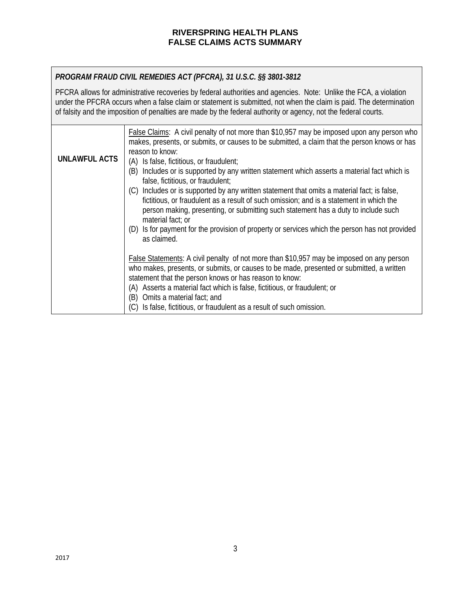# *PROGRAM FRAUD CIVIL REMEDIES ACT (PFCRA), 31 U.S.C. §§ 3801-3812*

PFCRA allows for administrative recoveries by federal authorities and agencies. Note: Unlike the FCA, a violation under the PFCRA occurs when a false claim or statement is submitted, not when the claim is paid. The determination of falsity and the imposition of penalties are made by the federal authority or agency, not the federal courts.

| <b>UNLAWFUL ACTS</b> | <b>False Claims:</b> A civil penalty of not more than \$10,957 may be imposed upon any person who<br>makes, presents, or submits, or causes to be submitted, a claim that the person knows or has<br>reason to know:<br>(A) Is false, fictitious, or fraudulent;<br>Includes or is supported by any written statement which asserts a material fact which is<br>(B)<br>false, fictitious, or fraudulent;                                         |
|----------------------|--------------------------------------------------------------------------------------------------------------------------------------------------------------------------------------------------------------------------------------------------------------------------------------------------------------------------------------------------------------------------------------------------------------------------------------------------|
|                      | (C) Includes or is supported by any written statement that omits a material fact; is false,<br>fictitious, or fraudulent as a result of such omission; and is a statement in which the<br>person making, presenting, or submitting such statement has a duty to include such<br>material fact; or<br>(D) Is for payment for the provision of property or services which the person has not provided<br>as claimed.                               |
|                      | <b>False Statements:</b> A civil penalty of not more than \$10,957 may be imposed on any person<br>who makes, presents, or submits, or causes to be made, presented or submitted, a written<br>statement that the person knows or has reason to know:<br>(A) Asserts a material fact which is false, fictitious, or fraudulent; or<br>Omits a material fact; and<br>(B)<br>(C) Is false, fictitious, or fraudulent as a result of such omission. |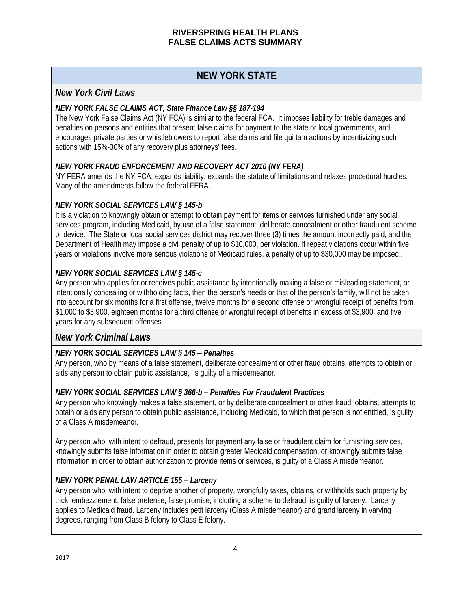# **NEW YORK STATE**

# *New York Civil Laws*

## *NEW YORK FALSE CLAIMS ACT, State Finance Law §§ 187-194*

The New York False Claims Act (NY FCA) is similar to the federal FCA. It imposes liability for treble damages and penalties on persons and entities that present false claims for payment to the state or local governments, and encourages private parties or whistleblowers to report false claims and file qui tam actions by incentivizing such actions with 15%-30% of any recovery plus attorneys' fees.

# *NEW YORK FRAUD ENFORCEMENT AND RECOVERY ACT 2010 (NY FERA)*

NY FERA amends the NY FCA, expands liability, expands the statute of limitations and relaxes procedural hurdles. Many of the amendments follow the federal FERA.

# *NEW YORK SOCIAL SERVICES LAW § 145-b*

It is a violation to knowingly obtain or attempt to obtain payment for items or services furnished under any social services program, including Medicaid, by use of a false statement, deliberate concealment or other fraudulent scheme or device. The State or local social services district may recover three (3) times the amount incorrectly paid, and the Department of Health may impose a civil penalty of up to \$10,000, per violation. If repeat violations occur within five years or violations involve more serious violations of Medicaid rules, a penalty of up to \$30,000 may be imposed..

# *NEW YORK SOCIAL SERVICES LAW § 145-c*

Any person who applies for or receives public assistance by intentionally making a false or misleading statement, or intentionally concealing or withholding facts, then the person's needs or that of the person's family, will not be taken into account for six months for a first offense, twelve months for a second offense or wrongful receipt of benefits from \$1,000 to \$3,900, eighteen months for a third offense or wrongful receipt of benefits in excess of \$3,900, and five years for any subsequent offenses.

# *New York Criminal Laws*

# *NEW YORK SOCIAL SERVICES LAW § 145* – *Penalties*

Any person, who by means of a false statement, deliberate concealment or other fraud obtains, attempts to obtain or aids any person to obtain public assistance, is guilty of a misdemeanor.

### *NEW YORK SOCIAL SERVICES LAW § 366-b* – *Penalties For Fraudulent Practices*

Any person who knowingly makes a false statement, or by deliberate concealment or other fraud, obtains, attempts to obtain or aids any person to obtain public assistance, including Medicaid, to which that person is not entitled, is guilty of a Class A misdemeanor.

Any person who, with intent to defraud, presents for payment any false or fraudulent claim for furnishing services, knowingly submits false information in order to obtain greater Medicaid compensation, or knowingly submits false information in order to obtain authorization to provide items or services, is guilty of a Class A misdemeanor.

# *NEW YORK PENAL LAW ARTICLE 155* – *Larceny*

Any person who, with intent to deprive another of property, wrongfully takes, obtains, or withholds such property by trick, embezzlement, false pretense, false promise, including a scheme to defraud, is guilty of larceny. Larceny applies to Medicaid fraud. Larceny includes petit larceny (Class A misdemeanor) and grand larceny in varying degrees, ranging from Class B felony to Class E felony.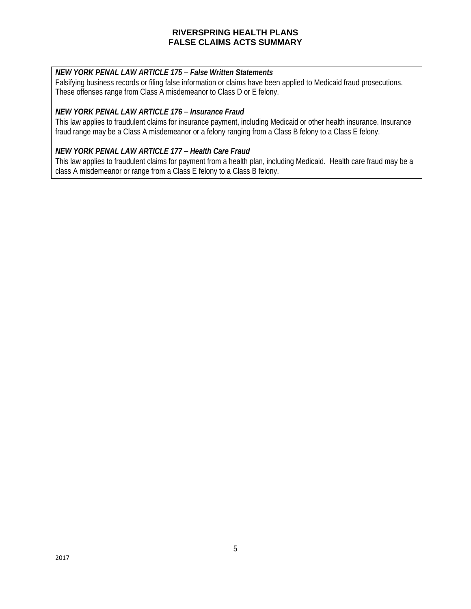### *NEW YORK PENAL LAW ARTICLE 175* – *False Written Statements*

Falsifying business records or filing false information or claims have been applied to Medicaid fraud prosecutions. These offenses range from Class A misdemeanor to Class D or E felony.

## *NEW YORK PENAL LAW ARTICLE 176* – *Insurance Fraud*

This law applies to fraudulent claims for insurance payment, including Medicaid or other health insurance. Insurance fraud range may be a Class A misdemeanor or a felony ranging from a Class B felony to a Class E felony.

### *NEW YORK PENAL LAW ARTICLE 177* – *Health Care Fraud*

This law applies to fraudulent claims for payment from a health plan, including Medicaid. Health care fraud may be a class A misdemeanor or range from a Class E felony to a Class B felony.